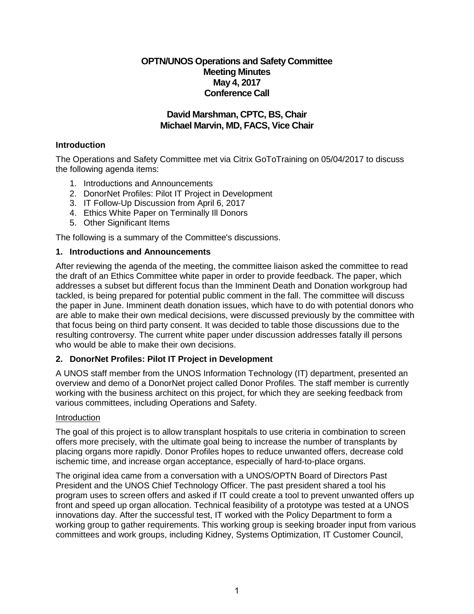## **OPTN/UNOS Operations and Safety Committee Meeting Minutes May 4, 2017 Conference Call**

## **David Marshman, CPTC, BS, Chair Michael Marvin, MD, FACS, Vice Chair**

## **Introduction**

The Operations and Safety Committee met via Citrix GoToTraining on 05/04/2017 to discuss the following agenda items:

- 1. Introductions and Announcements
- 2. DonorNet Profiles: Pilot IT Project in Development
- 3. IT Follow-Up Discussion from April 6, 2017
- 4. Ethics White Paper on Terminally Ill Donors
- 5. Other Significant Items

The following is a summary of the Committee's discussions.

## **1. Introductions and Announcements**

After reviewing the agenda of the meeting, the committee liaison asked the committee to read the draft of an Ethics Committee white paper in order to provide feedback. The paper, which addresses a subset but different focus than the Imminent Death and Donation workgroup had tackled, is being prepared for potential public comment in the fall. The committee will discuss the paper in June. Imminent death donation issues, which have to do with potential donors who are able to make their own medical decisions, were discussed previously by the committee with that focus being on third party consent. It was decided to table those discussions due to the resulting controversy. The current white paper under discussion addresses fatally ill persons who would be able to make their own decisions.

## **2. DonorNet Profiles: Pilot IT Project in Development**

A UNOS staff member from the UNOS Information Technology (IT) department, presented an overview and demo of a DonorNet project called Donor Profiles. The staff member is currently working with the business architect on this project, for which they are seeking feedback from various committees, including Operations and Safety.

#### **Introduction**

The goal of this project is to allow transplant hospitals to use criteria in combination to screen offers more precisely, with the ultimate goal being to increase the number of transplants by placing organs more rapidly. Donor Profiles hopes to reduce unwanted offers, decrease cold ischemic time, and increase organ acceptance, especially of hard-to-place organs.

The original idea came from a conversation with a UNOS/OPTN Board of Directors Past President and the UNOS Chief Technology Officer. The past president shared a tool his program uses to screen offers and asked if IT could create a tool to prevent unwanted offers up front and speed up organ allocation. Technical feasibility of a prototype was tested at a UNOS innovations day. After the successful test, IT worked with the Policy Department to form a working group to gather requirements. This working group is seeking broader input from various committees and work groups, including Kidney, Systems Optimization, IT Customer Council,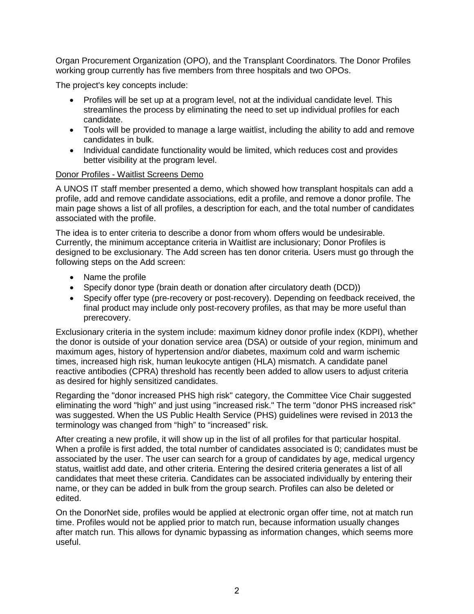Organ Procurement Organization (OPO), and the Transplant Coordinators. The Donor Profiles working group currently has five members from three hospitals and two OPOs.

The project's key concepts include:

- Profiles will be set up at a program level, not at the individual candidate level. This streamlines the process by eliminating the need to set up individual profiles for each candidate.
- Tools will be provided to manage a large waitlist, including the ability to add and remove candidates in bulk.
- Individual candidate functionality would be limited, which reduces cost and provides better visibility at the program level.

#### Donor Profiles - Waitlist Screens Demo

A UNOS IT staff member presented a demo, which showed how transplant hospitals can add a profile, add and remove candidate associations, edit a profile, and remove a donor profile. The main page shows a list of all profiles, a description for each, and the total number of candidates associated with the profile.

The idea is to enter criteria to describe a donor from whom offers would be undesirable. Currently, the minimum acceptance criteria in Waitlist are inclusionary; Donor Profiles is designed to be exclusionary. The Add screen has ten donor criteria. Users must go through the following steps on the Add screen:

- Name the profile
- Specify donor type (brain death or donation after circulatory death (DCD))
- Specify offer type (pre-recovery or post-recovery). Depending on feedback received, the final product may include only post-recovery profiles, as that may be more useful than prerecovery.

Exclusionary criteria in the system include: maximum kidney donor profile index (KDPI), whether the donor is outside of your donation service area (DSA) or outside of your region, minimum and maximum ages, history of hypertension and/or diabetes, maximum cold and warm ischemic times, increased high risk, human leukocyte antigen (HLA) mismatch. A candidate panel reactive antibodies (CPRA) threshold has recently been added to allow users to adjust criteria as desired for highly sensitized candidates.

Regarding the "donor increased PHS high risk" category, the Committee Vice Chair suggested eliminating the word "high" and just using "increased risk." The term "donor PHS increased risk" was suggested. When the US Public Health Service (PHS) guidelines were revised in 2013 the terminology was changed from "high" to "increased" risk.

After creating a new profile, it will show up in the list of all profiles for that particular hospital. When a profile is first added, the total number of candidates associated is 0; candidates must be associated by the user. The user can search for a group of candidates by age, medical urgency status, waitlist add date, and other criteria. Entering the desired criteria generates a list of all candidates that meet these criteria. Candidates can be associated individually by entering their name, or they can be added in bulk from the group search. Profiles can also be deleted or edited.

On the DonorNet side, profiles would be applied at electronic organ offer time, not at match run time. Profiles would not be applied prior to match run, because information usually changes after match run. This allows for dynamic bypassing as information changes, which seems more useful.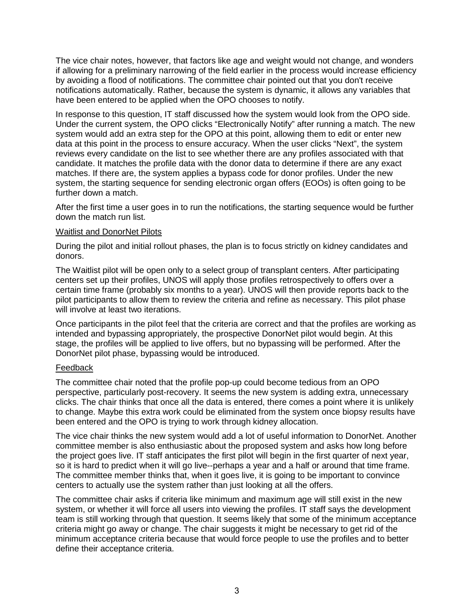The vice chair notes, however, that factors like age and weight would not change, and wonders if allowing for a preliminary narrowing of the field earlier in the process would increase efficiency by avoiding a flood of notifications. The committee chair pointed out that you don't receive notifications automatically. Rather, because the system is dynamic, it allows any variables that have been entered to be applied when the OPO chooses to notify.

In response to this question, IT staff discussed how the system would look from the OPO side. Under the current system, the OPO clicks "Electronically Notify" after running a match. The new system would add an extra step for the OPO at this point, allowing them to edit or enter new data at this point in the process to ensure accuracy. When the user clicks "Next", the system reviews every candidate on the list to see whether there are any profiles associated with that candidate. It matches the profile data with the donor data to determine if there are any exact matches. If there are, the system applies a bypass code for donor profiles. Under the new system, the starting sequence for sending electronic organ offers (EOOs) is often going to be further down a match.

After the first time a user goes in to run the notifications, the starting sequence would be further down the match run list.

#### Waitlist and DonorNet Pilots

During the pilot and initial rollout phases, the plan is to focus strictly on kidney candidates and donors.

The Waitlist pilot will be open only to a select group of transplant centers. After participating centers set up their profiles, UNOS will apply those profiles retrospectively to offers over a certain time frame (probably six months to a year). UNOS will then provide reports back to the pilot participants to allow them to review the criteria and refine as necessary. This pilot phase will involve at least two iterations.

Once participants in the pilot feel that the criteria are correct and that the profiles are working as intended and bypassing appropriately, the prospective DonorNet pilot would begin. At this stage, the profiles will be applied to live offers, but no bypassing will be performed. After the DonorNet pilot phase, bypassing would be introduced.

## Feedback

The committee chair noted that the profile pop-up could become tedious from an OPO perspective, particularly post-recovery. It seems the new system is adding extra, unnecessary clicks. The chair thinks that once all the data is entered, there comes a point where it is unlikely to change. Maybe this extra work could be eliminated from the system once biopsy results have been entered and the OPO is trying to work through kidney allocation.

The vice chair thinks the new system would add a lot of useful information to DonorNet. Another committee member is also enthusiastic about the proposed system and asks how long before the project goes live. IT staff anticipates the first pilot will begin in the first quarter of next year, so it is hard to predict when it will go live--perhaps a year and a half or around that time frame. The committee member thinks that, when it goes live, it is going to be important to convince centers to actually use the system rather than just looking at all the offers.

The committee chair asks if criteria like minimum and maximum age will still exist in the new system, or whether it will force all users into viewing the profiles. IT staff says the development team is still working through that question. It seems likely that some of the minimum acceptance criteria might go away or change. The chair suggests it might be necessary to get rid of the minimum acceptance criteria because that would force people to use the profiles and to better define their acceptance criteria.